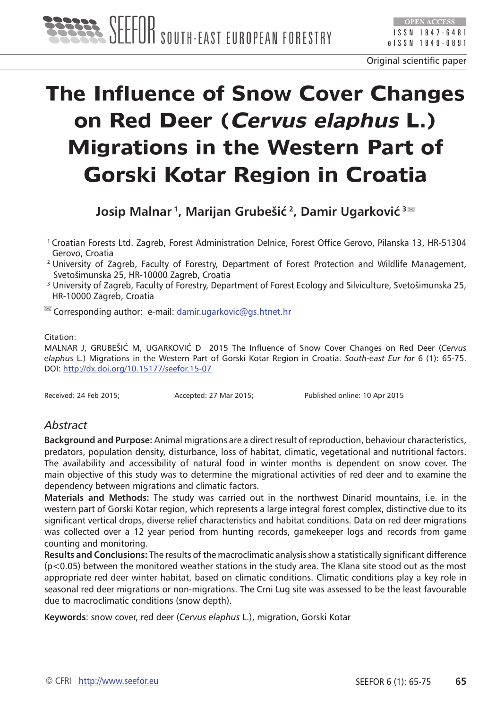

# **The Influence of Snow Cover Changes on Red Deer (Cervus elaphus L.) Migrations in the Western Part of Gorski Kotar Region in Croatia**

**Josip Malnar 1, Marijan Grubešić 2, Damir Ugarković<sup>3</sup>**

1 Croatian Forests Ltd. Zagreb, Forest Administration Delnice, Forest Office Gerovo, Pilanska 13, HR-51304 Gerovo, Croatia

- <sup>2</sup> University of Zagreb, Faculty of Forestry, Department of Forest Protection and Wildlife Management, Svetošimunska 25, HR-10000 Zagreb, Croatia
- <sup>3</sup> University of Zagreb, Faculty of Forestry, Department of Forest Ecology and Silviculture, Svetošimunska 25, HR-10000 Zagreb, Croatia

 $\blacksquare$  Corresponding author: e-mail:  $d$ amir.ugarkovic@gs.htnet.hr

#### Citation:

MALNAR J, GRUBEŠIĆ M, UGARKOVIĆ D 2015 The Influence of Snow Cover Changes on Red Deer (*Cervus elaphus* L.) Migrations in the Western Part of Gorski Kotar Region in Croatia. *South-east Eur for* 6 (1): 65-75. DOI: <http://dx.doi.org/10.15177/seefor.15-07>

Received: 24 Feb 2015; Accepted: 27 Mar 2015; Published online: 10 Apr 2015

# *Abstract*

**Background and Purpose:** Animal migrations are a direct result of reproduction, behaviour characteristics, predators, population density, disturbance, loss of habitat, climatic, vegetational and nutritional factors. The availability and accessibility of natural food in winter months is dependent on snow cover. The main objective of this study was to determine the migrational activities of red deer and to examine the dependency between migrations and climatic factors.

**Materials and Methods:** The study was carried out in the northwest Dinarid mountains, i.e. in the western part of Gorski Kotar region, which represents a large integral forest complex, distinctive due to its significant vertical drops, diverse relief characteristics and habitat conditions. Data on red deer migrations was collected over a 12 year period from hunting records, gamekeeper logs and records from game counting and monitoring.

**Results and Conclusions:** The results of the macroclimatic analysis show a statistically significant difference (p<0.05) between the monitored weather stations in the study area. The Klana site stood out as the most appropriate red deer winter habitat, based on climatic conditions. Climatic conditions play a key role in seasonal red deer migrations or non-migrations. The Crni Lug site was assessed to be the least favourable due to macroclimatic conditions (snow depth).

**Keywords**: snow cover, red deer (*Cervus elaphus* L.), migration, Gorski Kotar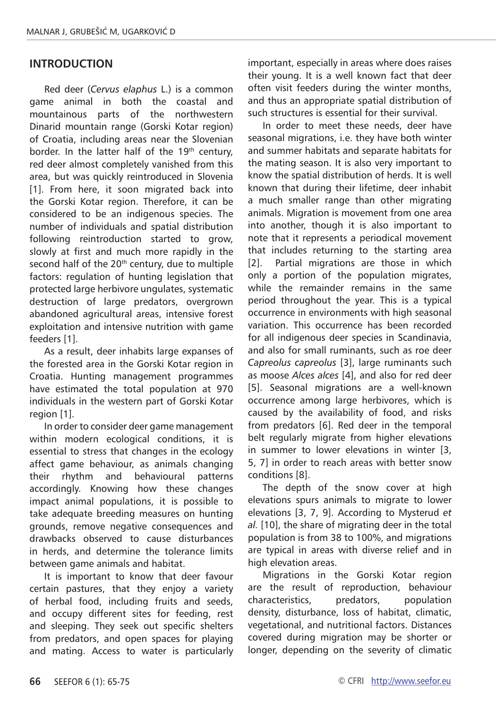#### **INTRODUCTION**

Red deer (*Cervus elaphus* L.) is a common game animal in both the coastal and mountainous parts of the northwestern Dinarid mountain range (Gorski Kotar region) of Croatia, including areas near the Slovenian border. In the latter half of the 19<sup>th</sup> century, red deer almost completely vanished from this area, but was quickly reintroduced in Slovenia [1]. From here, it soon migrated back into the Gorski Kotar region. Therefore, it can be considered to be an indigenous species. The number of individuals and spatial distribution following reintroduction started to grow, slowly at first and much more rapidly in the second half of the 20<sup>th</sup> century, due to multiple factors: regulation of hunting legislation that protected large herbivore ungulates, systematic destruction of large predators, overgrown abandoned agricultural areas, intensive forest exploitation and intensive nutrition with game feeders [1].

As a result, deer inhabits large expanses of the forested area in the Gorski Kotar region in Croatia. Hunting management programmes have estimated the total population at 970 individuals in the western part of Gorski Kotar region [1].

In order to consider deer game management within modern ecological conditions, it is essential to stress that changes in the ecology affect game behaviour, as animals changing their rhythm and behavioural patterns accordingly. Knowing how these changes impact animal populations, it is possible to take adequate breeding measures on hunting grounds, remove negative consequences and drawbacks observed to cause disturbances in herds, and determine the tolerance limits between game animals and habitat.

It is important to know that deer favour certain pastures, that they enjoy a variety of herbal food, including fruits and seeds, and occupy different sites for feeding, rest and sleeping. They seek out specific shelters from predators, and open spaces for playing and mating. Access to water is particularly important, especially in areas where does raises their young. It is a well known fact that deer often visit feeders during the winter months, and thus an appropriate spatial distribution of such structures is essential for their survival.

In order to meet these needs, deer have seasonal migrations, i.e. they have both winter and summer habitats and separate habitats for the mating season. It is also very important to know the spatial distribution of herds. It is well known that during their lifetime, deer inhabit a much smaller range than other migrating animals. Migration is movement from one area into another, though it is also important to note that it represents a periodical movement that includes returning to the starting area [2]. Partial migrations are those in which only a portion of the population migrates, while the remainder remains in the same period throughout the year. This is a typical occurrence in environments with high seasonal variation. This occurrence has been recorded for all indigenous deer species in Scandinavia, and also for small ruminants, such as roe deer *Capreolus capreolus* [3], large ruminants such as moose *Alces alces* [4], and also for red deer [5]. Seasonal migrations are a well-known occurrence among large herbivores, which is caused by the availability of food, and risks from predators [6]. Red deer in the temporal belt regularly migrate from higher elevations in summer to lower elevations in winter [3, 5, 7] in order to reach areas with better snow conditions [8].

The depth of the snow cover at high elevations spurs animals to migrate to lower elevations [3, 7, 9]. According to Mysterud *et al.* [10], the share of migrating deer in the total population is from 38 to 100%, and migrations are typical in areas with diverse relief and in high elevation areas.

Migrations in the Gorski Kotar region are the result of reproduction, behaviour characteristics, predators, population density, disturbance, loss of habitat, climatic, vegetational, and nutritional factors. Distances covered during migration may be shorter or longer, depending on the severity of climatic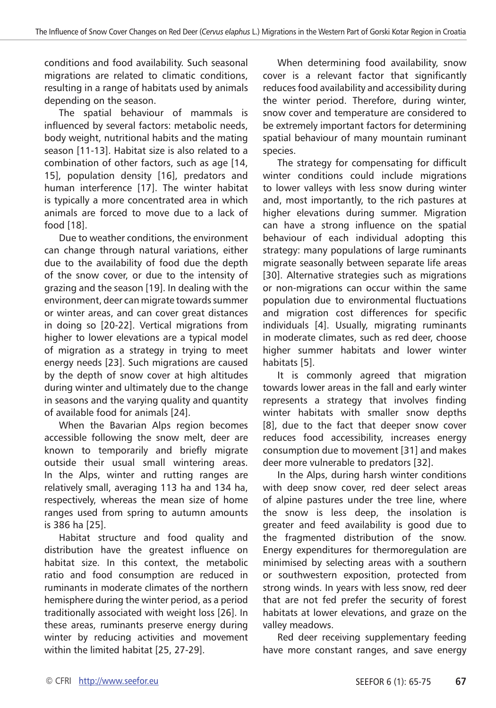conditions and food availability. Such seasonal migrations are related to climatic conditions, resulting in a range of habitats used by animals depending on the season.

The spatial behaviour of mammals is influenced by several factors: metabolic needs, body weight, nutritional habits and the mating season [11-13]. Habitat size is also related to a combination of other factors, such as age [14, 15], population density [16], predators and human interference [17]. The winter habitat is typically a more concentrated area in which animals are forced to move due to a lack of food [18].

Due to weather conditions, the environment can change through natural variations, either due to the availability of food due the depth of the snow cover, or due to the intensity of grazing and the season [19]. In dealing with the environment, deer can migrate towards summer or winter areas, and can cover great distances in doing so [20-22]. Vertical migrations from higher to lower elevations are a typical model of migration as a strategy in trying to meet energy needs [23]. Such migrations are caused by the depth of snow cover at high altitudes during winter and ultimately due to the change in seasons and the varying quality and quantity of available food for animals [24].

When the Bavarian Alps region becomes accessible following the snow melt, deer are known to temporarily and briefly migrate outside their usual small wintering areas. In the Alps, winter and rutting ranges are relatively small, averaging 113 ha and 134 ha, respectively, whereas the mean size of home ranges used from spring to autumn amounts is 386 ha [25].

Habitat structure and food quality and distribution have the greatest influence on habitat size. In this context, the metabolic ratio and food consumption are reduced in ruminants in moderate climates of the northern hemisphere during the winter period, as a period traditionally associated with weight loss [26]. In these areas, ruminants preserve energy during winter by reducing activities and movement within the limited habitat [25, 27-29].

When determining food availability, snow cover is a relevant factor that significantly reduces food availability and accessibility during the winter period. Therefore, during winter, snow cover and temperature are considered to be extremely important factors for determining spatial behaviour of many mountain ruminant species.

The strategy for compensating for difficult winter conditions could include migrations to lower valleys with less snow during winter and, most importantly, to the rich pastures at higher elevations during summer. Migration can have a strong influence on the spatial behaviour of each individual adopting this strategy: many populations of large ruminants migrate seasonally between separate life areas [30]. Alternative strategies such as migrations or non-migrations can occur within the same population due to environmental fluctuations and migration cost differences for specific individuals [4]. Usually, migrating ruminants in moderate climates, such as red deer, choose higher summer habitats and lower winter habitats [5].

It is commonly agreed that migration towards lower areas in the fall and early winter represents a strategy that involves finding winter habitats with smaller snow depths [8], due to the fact that deeper snow cover reduces food accessibility, increases energy consumption due to movement [31] and makes deer more vulnerable to predators [32].

In the Alps, during harsh winter conditions with deep snow cover, red deer select areas of alpine pastures under the tree line, where the snow is less deep, the insolation is greater and feed availability is good due to the fragmented distribution of the snow. Energy expenditures for thermoregulation are minimised by selecting areas with a southern or southwestern exposition, protected from strong winds. In years with less snow, red deer that are not fed prefer the security of forest habitats at lower elevations, and graze on the valley meadows.

Red deer receiving supplementary feeding have more constant ranges, and save energy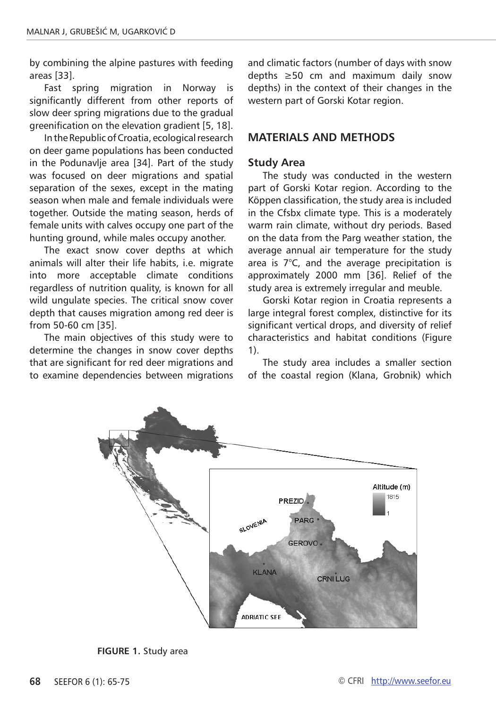by combining the alpine pastures with feeding areas [33].

Fast spring migration in Norway is significantly different from other reports of slow deer spring migrations due to the gradual greenification on the elevation gradient [5, 18].

In the Republic of Croatia, ecological research on deer game populations has been conducted in the Podunavlie area [34]. Part of the study was focused on deer migrations and spatial separation of the sexes, except in the mating season when male and female individuals were together. Outside the mating season, herds of female units with calves occupy one part of the hunting ground, while males occupy another.

The exact snow cover depths at which animals will alter their life habits, i.e. migrate into more acceptable climate conditions regardless of nutrition quality, is known for all wild ungulate species. The critical snow cover depth that causes migration among red deer is from 50-60 cm [35].

The main objectives of this study were to determine the changes in snow cover depths that are significant for red deer migrations and to examine dependencies between migrations and climatic factors (number of days with snow depths ≥50 cm and maximum daily snow depths) in the context of their changes in the western part of Gorski Kotar region.

### **MATERIALS AND METHODS**

#### **Study Area**

The study was conducted in the western part of Gorski Kotar region. According to the Köppen classification, the study area is included in the Cfsbx climate type. This is a moderately warm rain climate, without dry periods. Based on the data from the Parg weather station, the average annual air temperature for the study area is 7°C, and the average precipitation is approximately 2000 mm [36]. Relief of the study area is extremely irregular and meuble.

Gorski Kotar region in Croatia represents a large integral forest complex, distinctive for its significant vertical drops, and diversity of relief characteristics and habitat conditions (Figure 1).

The study area includes a smaller section of the coastal region (Klana, Grobnik) which



**FIGURE 1.** Study area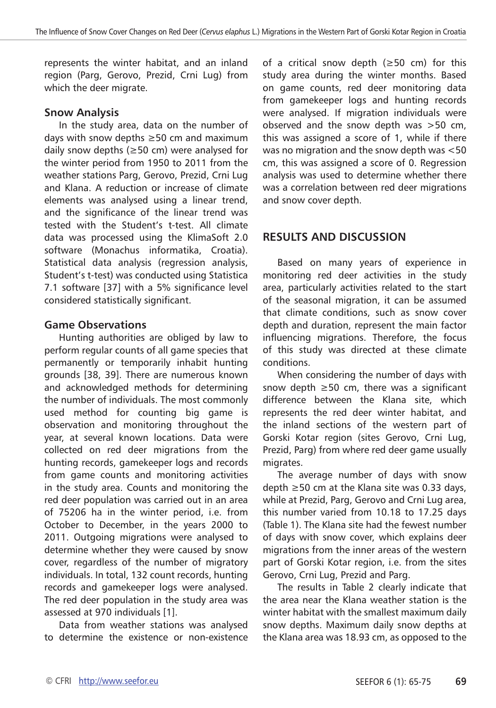represents the winter habitat, and an inland region (Parg, Gerovo, Prezid, Crni Lug) from which the deer migrate.

#### **Snow Analysis**

In the study area, data on the number of days with snow depths ≥50 cm and maximum daily snow depths (≥50 cm) were analysed for the winter period from 1950 to 2011 from the weather stations Parg, Gerovo, Prezid, Crni Lug and Klana. A reduction or increase of climate elements was analysed using a linear trend, and the significance of the linear trend was tested with the Student's t-test. All climate data was processed using the KlimaSoft 2.0 software (Monachus informatika, Croatia). Statistical data analysis (regression analysis, Student's t-test) was conducted using Statistica 7.1 software [37] with a 5% significance level considered statistically significant.

#### **Game Observations**

Hunting authorities are obliged by law to perform regular counts of all game species that permanently or temporarily inhabit hunting grounds [38, 39]. There are numerous known and acknowledged methods for determining the number of individuals. The most commonly used method for counting big game is observation and monitoring throughout the year, at several known locations. Data were collected on red deer migrations from the hunting records, gamekeeper logs and records from game counts and monitoring activities in the study area. Counts and monitoring the red deer population was carried out in an area of 75206 ha in the winter period, i.e. from October to December, in the years 2000 to 2011. Outgoing migrations were analysed to determine whether they were caused by snow cover, regardless of the number of migratory individuals. In total, 132 count records, hunting records and gamekeeper logs were analysed. The red deer population in the study area was assessed at 970 individuals [1].

Data from weather stations was analysed to determine the existence or non-existence

of a critical snow depth (≥50 cm) for this study area during the winter months. Based on game counts, red deer monitoring data from gamekeeper logs and hunting records were analysed. If migration individuals were observed and the snow depth was >50 cm, this was assigned a score of 1, while if there was no migration and the snow depth was <50 cm, this was assigned a score of 0. Regression analysis was used to determine whether there was a correlation between red deer migrations and snow cover depth.

## **RESULTS AND DISCUSSION**

Based on many years of experience in monitoring red deer activities in the study area, particularly activities related to the start of the seasonal migration, it can be assumed that climate conditions, such as snow cover depth and duration, represent the main factor influencing migrations. Therefore, the focus of this study was directed at these climate conditions.

When considering the number of days with snow depth ≥50 cm, there was a significant difference between the Klana site, which represents the red deer winter habitat, and the inland sections of the western part of Gorski Kotar region (sites Gerovo, Crni Lug, Prezid, Parg) from where red deer game usually migrates.

The average number of days with snow depth ≥50 cm at the Klana site was 0.33 days, while at Prezid, Parg, Gerovo and Crni Lug area, this number varied from 10.18 to 17.25 days (Table 1). The Klana site had the fewest number of days with snow cover, which explains deer migrations from the inner areas of the western part of Gorski Kotar region, i.e. from the sites Gerovo, Crni Lug, Prezid and Parg.

The results in Table 2 clearly indicate that the area near the Klana weather station is the winter habitat with the smallest maximum daily snow depths. Maximum daily snow depths at the Klana area was 18.93 cm, as opposed to the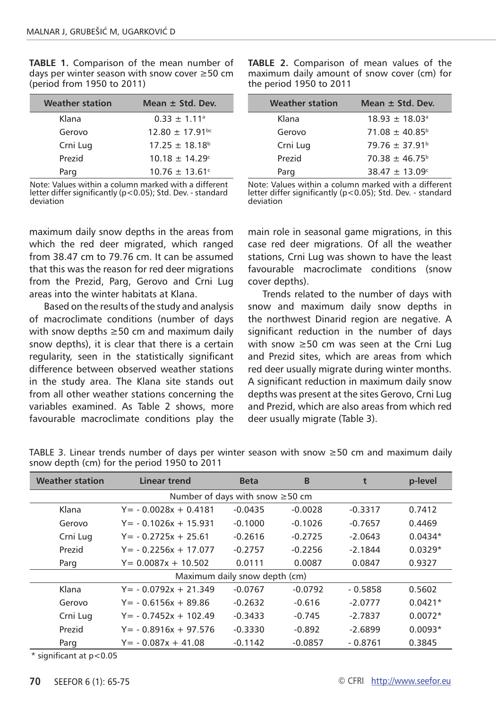**TABLE 1.** Comparison of the mean number of days per winter season with snow cover ≥50 cm (period from 1950 to 2011)

| <b>Weather station</b> | Mean $\pm$ Std. Dev.           |  |  |  |
|------------------------|--------------------------------|--|--|--|
| Klana                  | $0.33 + 1.11$ <sup>a</sup>     |  |  |  |
| Gerovo                 | $12.80 + 17.91$ <sup>bc</sup>  |  |  |  |
| Crni Lug               | $17.25 + 18.18^{b}$            |  |  |  |
| Prezid                 | $10.18 + 14.29$ c              |  |  |  |
| Parg                   | $10.76 \pm 13.61$ <sup>c</sup> |  |  |  |

Note: Values within a column marked with a different letter differ significantly (p<0.05); Std. Dev. - standard deviation

maximum daily snow depths in the areas from which the red deer migrated, which ranged from 38.47 cm to 79.76 cm. It can be assumed that this was the reason for red deer migrations from the Prezid, Parg, Gerovo and Crni Lug areas into the winter habitats at Klana.

Based on the results of the study and analysis of macroclimate conditions (number of days with snow depths ≥50 cm and maximum daily snow depths), it is clear that there is a certain regularity, seen in the statistically significant difference between observed weather stations in the study area. The Klana site stands out from all other weather stations concerning the variables examined. As Table 2 shows, more favourable macroclimate conditions play the **TABLE 2.** Comparison of mean values of the maximum daily amount of snow cover (cm) for the period 1950 to 2011

| Mean $\pm$ Std. Dev.         |
|------------------------------|
| $18.93 + 18.03$ <sup>a</sup> |
| $71.08 + 40.85^{\circ}$      |
| $79.76 + 37.91b$             |
| $70.38 + 46.75^{\circ}$      |
| $38.47 + 13.09$              |
|                              |

Note: Values within a column marked with a different letter differ significantly (p<0.05); Std. Dev. - standard deviation

main role in seasonal game migrations, in this case red deer migrations. Of all the weather stations, Crni Lug was shown to have the least favourable macroclimate conditions (snow cover depths).

Trends related to the number of days with snow and maximum daily snow depths in the northwest Dinarid region are negative. A significant reduction in the number of days with snow ≥50 cm was seen at the Crni Lug and Prezid sites, which are areas from which red deer usually migrate during winter months. A significant reduction in maximum daily snow depths was present at the sites Gerovo, Crni Lug and Prezid, which are also areas from which red deer usually migrate (Table 3).

| <b>Weather station</b>                | Linear trend            | <b>Beta</b> | B         | t         | p-level   |  |
|---------------------------------------|-------------------------|-------------|-----------|-----------|-----------|--|
| Number of days with snow $\geq 50$ cm |                         |             |           |           |           |  |
| Klana                                 | $Y = -0.0028x + 0.4181$ | $-0.0435$   | $-0.0028$ | $-0.3317$ | 0.7412    |  |
| Gerovo                                | $Y = -0.1026x + 15.931$ | $-0.1000$   | $-0.1026$ | $-0.7657$ | 0.4469    |  |
| Crni Lug                              | $Y = -0.2725x + 25.61$  | $-0.2616$   | $-0.2725$ | $-2.0643$ | $0.0434*$ |  |
| Prezid                                | $Y = -0.2256x + 17.077$ | $-0.2757$   | $-0.2256$ | $-2.1844$ | $0.0329*$ |  |
| Parg                                  | $Y = 0.0087x + 10.502$  | 0.0111      | 0.0087    | 0.0847    | 0.9327    |  |
| Maximum daily snow depth (cm)         |                         |             |           |           |           |  |
| Klana                                 | $Y = -0.0792x + 21.349$ | $-0.0767$   | $-0.0792$ | $-0.5858$ | 0.5602    |  |
| Gerovo                                | $Y = -0.6156x + 89.86$  | $-0.2632$   | $-0.616$  | $-2.0777$ | $0.0421*$ |  |
| Crni Lug                              | $Y = -0.7452x + 102.49$ | $-0.3433$   | $-0.745$  | $-2.7837$ | $0.0072*$ |  |
| Prezid                                | $Y = -0.8916x + 97.576$ | $-0.3330$   | $-0.892$  | $-2.6899$ | $0.0093*$ |  |
| Parg                                  | $Y = -0.087x + 41.08$   | $-0.1142$   | $-0.0857$ | - 0.8761  | 0.3845    |  |

TABLE 3. Linear trends number of days per winter season with snow ≥50 cm and maximum daily snow depth (cm) for the period 1950 to 2011

\* significant at p<0.05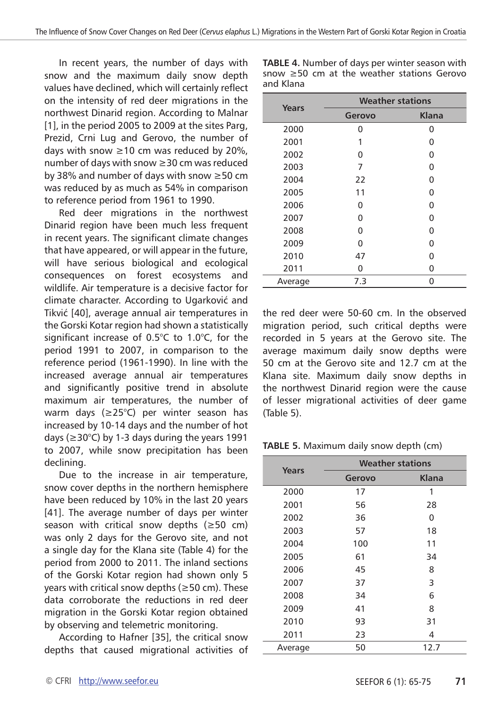In recent years, the number of days with snow and the maximum daily snow depth values have declined, which will certainly reflect on the intensity of red deer migrations in the northwest Dinarid region. According to Malnar [1], in the period 2005 to 2009 at the sites Parg, Prezid, Crni Lug and Gerovo, the number of days with snow ≥10 cm was reduced by 20%. number of days with snow ≥30 cm was reduced by 38% and number of days with snow ≥50 cm was reduced by as much as 54% in comparison to reference period from 1961 to 1990.

Red deer migrations in the northwest Dinarid region have been much less frequent in recent years. The significant climate changes that have appeared, or will appear in the future, will have serious biological and ecological consequences on forest ecosystems and wildlife. Air temperature is a decisive factor for climate character. According to Ugarković and Tikvić [40], average annual air temperatures in the Gorski Kotar region had shown a statistically significant increase of 0.5°C to 1.0°C, for the period 1991 to 2007, in comparison to the reference period (1961-1990). In line with the increased average annual air temperatures and significantly positive trend in absolute maximum air temperatures, the number of warm days (≥25°C) per winter season has increased by 10-14 days and the number of hot days ( $\geq$ 30°C) by 1-3 days during the years 1991 to 2007, while snow precipitation has been declining.

Due to the increase in air temperature, snow cover depths in the northern hemisphere have been reduced by 10% in the last 20 years [41]. The average number of days per winter season with critical snow depths (≥50 cm) was only 2 days for the Gerovo site, and not a single day for the Klana site (Table 4) for the period from 2000 to 2011. The inland sections of the Gorski Kotar region had shown only 5 years with critical snow depths (≥50 cm). These data corroborate the reductions in red deer migration in the Gorski Kotar region obtained by observing and telemetric monitoring.

According to Hafner [35], the critical snow depths that caused migrational activities of **TABLE 4.** Number of days per winter season with snow ≥50 cm at the weather stations Gerovo and Klana

| Years   | <b>Weather stations</b> |              |  |  |
|---------|-------------------------|--------------|--|--|
|         | Gerovo                  | <b>Klana</b> |  |  |
| 2000    | n                       | O            |  |  |
| 2001    | 1                       | ŋ            |  |  |
| 2002    | O                       | 0            |  |  |
| 2003    | 7                       | 0            |  |  |
| 2004    | 22                      | U            |  |  |
| 2005    | 11                      | 0            |  |  |
| 2006    | O                       | O            |  |  |
| 2007    | 0                       | 0            |  |  |
| 2008    | U                       | O            |  |  |
| 2009    | O                       | O            |  |  |
| 2010    | 47                      | ი            |  |  |
| 2011    | 0                       | 0            |  |  |
| Average | 7.3                     | 0            |  |  |

the red deer were 50-60 cm. In the observed migration period, such critical depths were recorded in 5 years at the Gerovo site. The average maximum daily snow depths were 50 cm at the Gerovo site and 12.7 cm at the Klana site. Maximum daily snow depths in the northwest Dinarid region were the cause of lesser migrational activities of deer game (Table 5).

#### **TABLE 5.** Maximum daily snow depth (cm)

| Years   | <b>Weather stations</b> |       |  |  |
|---------|-------------------------|-------|--|--|
|         | Gerovo                  | Klana |  |  |
| 2000    | 17                      | 1     |  |  |
| 2001    | 56                      | 28    |  |  |
| 2002    | 36                      | ŋ     |  |  |
| 2003    | 57                      | 18    |  |  |
| 2004    | 100                     | 11    |  |  |
| 2005    | 61                      | 34    |  |  |
| 2006    | 45                      | 8     |  |  |
| 2007    | 37                      | 3     |  |  |
| 2008    | 34                      | 6     |  |  |
| 2009    | 41                      | 8     |  |  |
| 2010    | 93                      | 31    |  |  |
| 2011    | 23                      | 4     |  |  |
| Average | 50                      | 12.7  |  |  |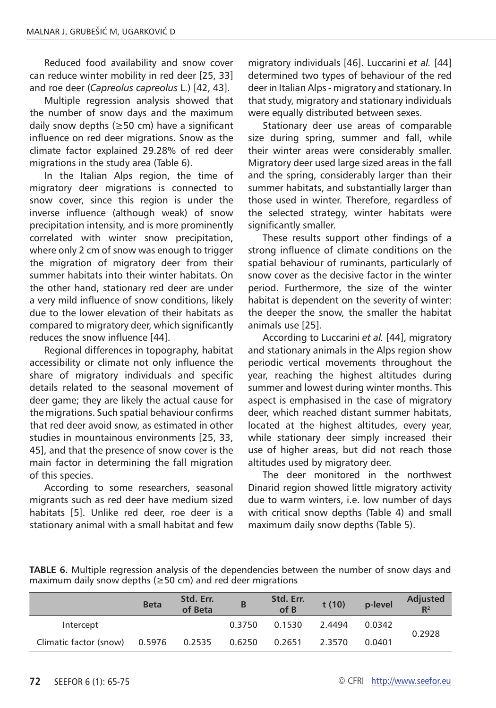Reduced food availability and snow cover can reduce winter mobility in red deer [25, 33] and roe deer (*Capreolus capreolus* L.) [42, 43].

Multiple regression analysis showed that the number of snow days and the maximum daily snow depths (≥50 cm) have a significant influence on red deer migrations. Snow as the climate factor explained 29.28% of red deer migrations in the study area (Table 6).

In the Italian Alps region, the time of migratory deer migrations is connected to snow cover, since this region is under the inverse influence (although weak) of snow precipitation intensity, and is more prominently correlated with winter snow precipitation, where only 2 cm of snow was enough to trigger the migration of migratory deer from their summer habitats into their winter habitats. On the other hand, stationary red deer are under a very mild influence of snow conditions, likely due to the lower elevation of their habitats as compared to migratory deer, which significantly reduces the snow influence [44].

Regional differences in topography, habitat accessibility or climate not only influence the share of migratory individuals and specific details related to the seasonal movement of deer game; they are likely the actual cause for the migrations. Such spatial behaviour confirms that red deer avoid snow, as estimated in other studies in mountainous environments [25, 33, 45], and that the presence of snow cover is the main factor in determining the fall migration of this species.

According to some researchers, seasonal migrants such as red deer have medium sized habitats [5]. Unlike red deer, roe deer is a stationary animal with a small habitat and few

migratory individuals [46]. Luccarini *et al.* [44] determined two types of behaviour of the red deer in Italian Alps - migratory and stationary. In that study, migratory and stationary individuals were equally distributed between sexes.

Stationary deer use areas of comparable size during spring, summer and fall, while their winter areas were considerably smaller. Migratory deer used large sized areas in the fall and the spring, considerably larger than their summer habitats, and substantially larger than those used in winter. Therefore, regardless of the selected strategy, winter habitats were significantly smaller.

These results support other findings of a strong influence of climate conditions on the spatial behaviour of ruminants, particularly of snow cover as the decisive factor in the winter period. Furthermore, the size of the winter habitat is dependent on the severity of winter: the deeper the snow, the smaller the habitat animals use [25].

According to Luccarini *et al.* [44], migratory and stationary animals in the Alps region show periodic vertical movements throughout the year, reaching the highest altitudes during summer and lowest during winter months. This aspect is emphasised in the case of migratory deer, which reached distant summer habitats, located at the highest altitudes, every year, while stationary deer simply increased their use of higher areas, but did not reach those altitudes used by migratory deer.

The deer monitored in the northwest Dinarid region showed little migratory activity due to warm winters, i.e. low number of days with critical snow depths (Table 4) and small maximum daily snow depths (Table 5).

|                                      | <b>Beta</b> | Std. Err.<br>of Beta | B      | Std. Err.<br>of B | t(10)  | p-level | <b>Adjusted</b><br>$R^2$ |
|--------------------------------------|-------------|----------------------|--------|-------------------|--------|---------|--------------------------|
| Intercept                            |             |                      | 0.3750 | 0.1530            | 2.4494 | 0.0342  | 0.2928                   |
| Climatic factor (snow) 0.5976 0.2535 |             |                      | 0.6250 | 0.2651            | 2.3570 | 0.0401  |                          |

**TABLE 6.** Multiple regression analysis of the dependencies between the number of snow days and maximum daily snow depths ( $\geq$ 50 cm) and red deer migrations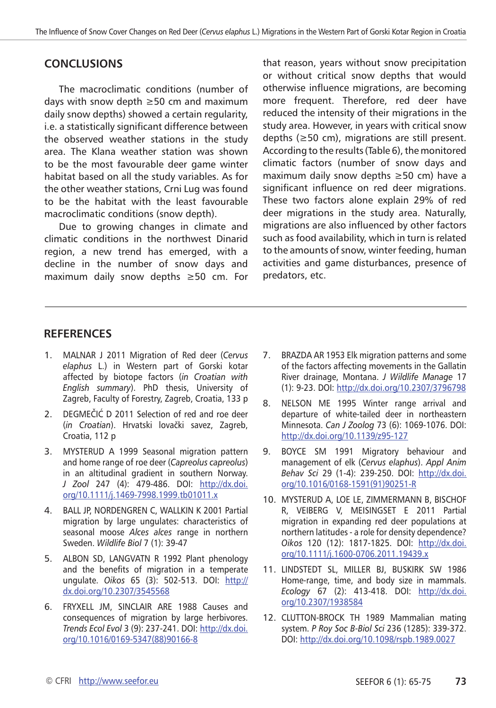# **CONCLUSIONS**

The macroclimatic conditions (number of days with snow depth ≥50 cm and maximum daily snow depths) showed a certain regularity, i.e. a statistically significant difference between the observed weather stations in the study area. The Klana weather station was shown to be the most favourable deer game winter habitat based on all the study variables. As for the other weather stations, Crni Lug was found to be the habitat with the least favourable macroclimatic conditions (snow depth).

Due to growing changes in climate and climatic conditions in the northwest Dinarid region, a new trend has emerged, with a decline in the number of snow days and maximum daily snow depths ≥50 cm. For that reason, years without snow precipitation or without critical snow depths that would otherwise influence migrations, are becoming more frequent. Therefore, red deer have reduced the intensity of their migrations in the study area. However, in years with critical snow depths (≥50 cm), migrations are still present. According to the results (Table 6), the monitored climatic factors (number of snow days and maximum daily snow depths ≥50 cm) have a significant influence on red deer migrations. These two factors alone explain 29% of red deer migrations in the study area. Naturally, migrations are also influenced by other factors such as food availability, which in turn is related to the amounts of snow, winter feeding, human activities and game disturbances, presence of predators, etc.

## **RefereNces**

- 1. MALNAR J 2011 Migration of Red deer (*Cervus elaphus* L.) in Western part of Gorski kotar affected by biotope factors (*in Croatian with English summary*). PhD thesis, University of Zagreb, Faculty of Forestry, Zagreb, Croatia, 133 p
- 2. DEGMEČIĆ D 2011 Selection of red and roe deer (*in Croatian*). Hrvatski lovački savez, Zagreb, Croatia, 112 p
- 3. MYSTERUD A 1999 Seasonal migration pattern and home range of roe deer (*Capreolus capreolus*) in an altitudinal gradient in southern Norway. *J Zool* 247 (4): 479-486. DOI: [http://dx.doi.](http://dx.doi.org/10.1111/j.1469-7998.1999.tb01011.x) [org/10.1111/j.1469-7998.1999.tb01011.x](http://dx.doi.org/10.1111/j.1469-7998.1999.tb01011.x)
- 4. BALL JP, NORDENGREN C, WALLKIN K 2001 Partial migration by large ungulates: characteristics of seasonal moose *Alces alces* range in northern Sweden. *Wildlife Biol* 7 (1): 39-47
- 5. ALBON SD, LANGVATN R 1992 Plant phenology and the benefits of migration in a temperate ungulate. *Oikos* 65 (3): 502-513. DOI: [http://](http://dx.doi.org/10.2307/3545568) [dx.doi.org/10.2307/3545568](http://dx.doi.org/10.2307/3545568)
- 6. FRYXELL JM, SINCLAIR ARE 1988 Causes and consequences of migration by large herbivores. *Trends Ecol Evol* 3 (9): 237-241. DOI: [http://dx.doi.](http://dx.doi.org/10.1016/0169-5347(88)90166-8) [org/10.1016/0169-5347\(88\)90166-8](http://dx.doi.org/10.1016/0169-5347(88)90166-8)
- 7. BRAZDA AR 1953 Elk migration patterns and some of the factors affecting movements in the Gallatin River drainage, Montana. *J Wildlife Manage* 17 (1): 9-23. DOI:<http://dx.doi.org/10.2307/3796798>
- 8. NELSON ME 1995 Winter range arrival and departure of white-tailed deer in northeastern Minnesota. *Can J Zoolog* 73 (6): 1069-1076. DOI: <http://dx.doi.org/10.1139/z95-127>
- 9. BOYCE SM 1991 Migratory behaviour and management of elk (*Cervus elaphus*). *Appl Anim Behav Sci* 29 (1-4): 239-250. DOI: [http://dx.doi.](http://dx.doi.org/10.1016/0168-1591(91)90251-R) [org/10.1016/0168-1591\(91\)90251-R](http://dx.doi.org/10.1016/0168-1591(91)90251-R)
- 10. MYSTERUD A, LOE LE, ZIMMERMANN B, BISCHOF R, VEIBERG V, MEISINGSET E 2011 Partial migration in expanding red deer populations at northern latitudes - a role for density dependence? *Oikos* 120 (12): 1817-1825. DOI: [http://dx.doi.](http://dx.doi.org/10.1111/j.1600-0706.2011.19439.x) [org/10.1111/j.1600-0706.2011.19439.x](http://dx.doi.org/10.1111/j.1600-0706.2011.19439.x)
- 11. LINDSTEDT SL, MILLER BJ, BUSKIRK SW 1986 Home-range, time, and body size in mammals. *Ecology* 67 (2): 413-418. DOI: [http://dx.doi.](http://dx.doi.org/10.2307/1938584) [org/10.2307/1938584](http://dx.doi.org/10.2307/1938584)
- 12. CLUTTON-BROCK TH 1989 Mammalian mating system. *P Roy Soc B-Biol Sci* 236 (1285): 339-372. DOI:<http://dx.doi.org/10.1098/rspb.1989.0027>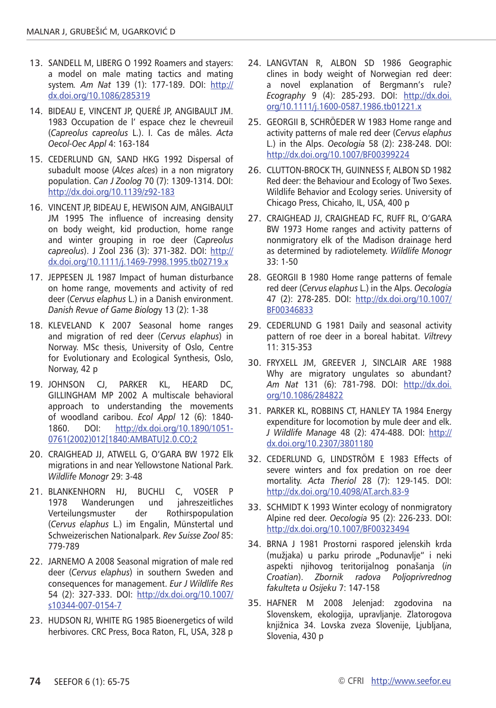- 13. SANDELL M, LIBERG O 1992 Roamers and stayers: a model on male mating tactics and mating system*. Am Nat* 139 (1): 177-189. DOI: [http://](http://dx.doi.org/10.1086/285319) [dx.doi.org/10.1086/285319](http://dx.doi.org/10.1086/285319)
- 14. BIDEAU E, VINCENT JP, QUERÉ JP, ANGIBAULT JM. 1983 Occupation de l' espace chez le chevreuil (*Capreolus capreolus* L.). I. Cas de mâles. *Acta Oecol-Oec Appl* 4: 163-184
- 15. CEDERLUND GN, SAND HKG 1992 Dispersal of subadult moose (*Alces alces*) in a non migratory population. *Can J Zoolog* 70 (7): 1309-1314. DOI: <http://dx.doi.org/10.1139/z92-183>
- 16. VINCENT JP, BIDEAU E, HEWISON AJM, ANGIBAULT JM 1995 The influence of increasing density on body weight, kid production, home range and winter grouping in roe deer (*Capreolus capreolus*). J Zool 236 (3): 371-382. DOI: [http://](http://dx.doi.org/10.1111/j.1469-7998.1995.tb02719.x) [dx.doi.org/10.1111/j.1469-7998.1995.tb02719.x](http://dx.doi.org/10.1111/j.1469-7998.1995.tb02719.x)
- 17. JEPPESEN JL 1987 Impact of human disturbance on home range, movements and activity of red deer (*Cervus elaphus* L.) in a Danish environment. *Danish Revue of Game Biolog*y 13 (2): 1-38
- 18. KLEVELAND K 2007 Seasonal home ranges and migration of red deer (*Cervus elaphus*) in Norway. MSc thesis, University of Oslo, Centre for Evolutionary and Ecological Synthesis, Oslo, Norway, 42 p
- 19. JOHNSON CJ, PARKER KL, HEARD DC, GILLINGHAM MP 2002 A multiscale behavioral approach to understanding the movements of woodland caribou. *Ecol Appl* 12 (6): 1840- 1860. DOI: [http://dx.doi.org/10.1890/1051-](http://dx.doi.org/10.1890/1051-0761(2002)012[1840:AMBATU]2.0.CO;2) [0761\(2002\)012\[1840:AMBATU\]2.0.CO;2](http://dx.doi.org/10.1890/1051-0761(2002)012[1840:AMBATU]2.0.CO;2)
- 20. CRAIGHEAD JJ, ATWELL G, O'GARA BW 1972 Elk migrations in and near Yellowstone National Park. *Wildlife Monogr* 29: 3-48
- 21. BLANKENHORN HJ, BUCHLI C, VOSER P 1978 Wanderungen und jahreszeitliches Verteilungsmuster der Rothirspopulation (*Cervus elaphus* L.) im Engalin, Münstertal und Schweizerischen Nationalpark. *Rev Suisse Zool* 85: 779-789
- 22. JARNEMO A 2008 Seasonal migration of male red deer (*Cervus elaphus*) in southern Sweden and consequences for management. *Eur J Wildlife Res* 54 (2): 327-333. DOI: [http://dx.doi.org/10.1007/](http://dx.doi.org/10.1007/s10344-007-0154-7) [s10344-007-0154-7](http://dx.doi.org/10.1007/s10344-007-0154-7)
- 23. HUDSON RJ, WHITE RG 1985 Bioenergetics of wild herbivores. CRC Press, Boca Raton, FL, USA, 328 p
- 24. LANGVTAN R, ALBON SD 1986 Geographic clines in body weight of Norwegian red deer: a novel explanation of Bergmann's rule? *Ecography* 9 (4): 285-293. DOI: [http://dx.doi.](http://dx.doi.org/10.1111/j.1600-0587.1986.tb01221.x) [org/10.1111/j.1600-0587.1986.tb01221.x](http://dx.doi.org/10.1111/j.1600-0587.1986.tb01221.x)
- 25. GEORGII B, SCHRÖEDER W 1983 Home range and activity patterns of male red deer (*Cervus elaphus*  L.) in the Alps. *Oecologia* 58 (2): 238-248. DOI: <http://dx.doi.org/10.1007/BF00399224>
- 26. CLUTTON-BROCK TH, GUINNESS F, ALBON SD 1982 Red deer: the Behaviour and Ecology of Two Sexes. Wildlife Behavior and Ecology series. University of Chicago Press, Chicaho, IL, USA, 400 p
- 27. CRAIGHEAD JJ, CRAIGHEAD FC, RUFF RL, O'GARA BW 1973 Home ranges and activity patterns of nonmigratory elk of the Madison drainage herd as determined by radiotelemety. *Wildlife Monogr* 33: 1-50
- 28. GEORGII B 1980 Home range patterns of female red deer (*Cervus elaphus* L.) in the Alps. *Oecologia* 47 (2): 278-285. DOI: [http://dx.doi.org/10.1007/](http://dx.doi.org/10.1007/BF00346833) [BF00346833](http://dx.doi.org/10.1007/BF00346833)
- 29. CEDERLUND G 1981 Daily and seasonal activity pattern of roe deer in a boreal habitat. *Viltrevy* 11: 315-353
- 30. FRYXELL JM, GREEVER J, SINCLAIR ARE 1988 Why are migratory ungulates so abundant? *Am Nat* 131 (6): 781-798. DOI: [http://dx.doi.](http://dx.doi.org/10.1086/284822) [org/10.1086/284822](http://dx.doi.org/10.1086/284822)
- 31. PARKER KL, ROBBINS CT, HANLEY TA 1984 Energy expenditure for locomotion by mule deer and elk. *J Wildlife Manage* 48 (2): 474-488. DOI: http:// dx.doi.org/10.2307/3801180
- 32. CEDERLUND G, LINDSTRÖM E 1983 Effects of severe winters and fox predation on roe deer mortality. *Acta Theriol* 28 (7): 129-145. DOI: <http://dx.doi.org/10.4098/AT.arch.83-9>
- 33. SCHMIDT K 1993 Winter ecology of nonmigratory Alpine red deer. *Oecologia* 95 (2): 226-233. DOI: <http://dx.doi.org/10.1007/BF00323494>
- 34. BRNA J 1981 Prostorni raspored jelenskih krda (mužjaka) u parku prirode "Podunavlje" i neki aspekti njihovog teritorijalnog ponašanja (*in Croatian*). *Zbornik radova Poljoprivrednog fakulteta u Osijeku* 7: 147-158
- 35. HAFNER M 2008 Jelenjad: zgodovina na Slovenskem, ekologija, upravljanje. Zlatorogova knjižnica 34. Lovska zveza Slovenije, Ljubljana, Slovenia, 430 p